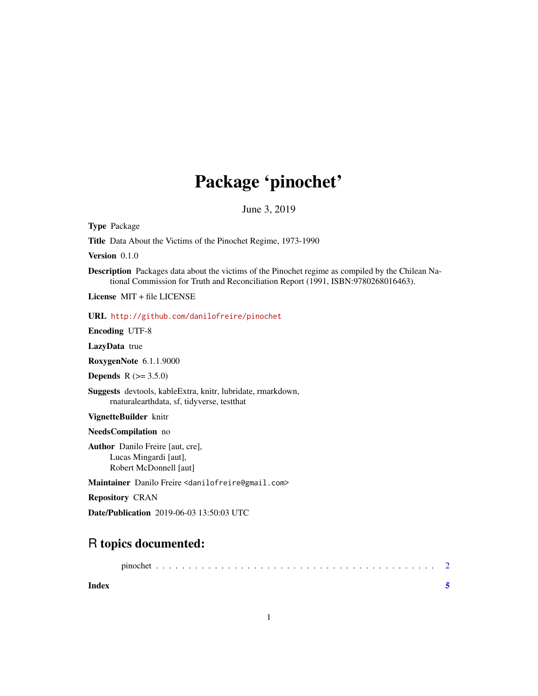# Package 'pinochet'

June 3, 2019

Type Package

Title Data About the Victims of the Pinochet Regime, 1973-1990

Version 0.1.0

Description Packages data about the victims of the Pinochet regime as compiled by the Chilean National Commission for Truth and Reconciliation Report (1991, ISBN:9780268016463).

License MIT + file LICENSE

URL <http://github.com/danilofreire/pinochet>

Encoding UTF-8

LazyData true

RoxygenNote 6.1.1.9000

**Depends** R  $(>= 3.5.0)$ 

Suggests devtools, kableExtra, knitr, lubridate, rmarkdown, rnaturalearthdata, sf, tidyverse, testthat

VignetteBuilder knitr

NeedsCompilation no

Author Danilo Freire [aut, cre], Lucas Mingardi [aut], Robert McDonnell [aut]

Maintainer Danilo Freire <danilofreire@gmail.com>

Repository CRAN

Date/Publication 2019-06-03 13:50:03 UTC

## R topics documented:

|       | pinochet |  |  |  |  |  |  |  |  |  |  |  |  |  |  |  |  |  |  |  |
|-------|----------|--|--|--|--|--|--|--|--|--|--|--|--|--|--|--|--|--|--|--|
| Index |          |  |  |  |  |  |  |  |  |  |  |  |  |  |  |  |  |  |  |  |

1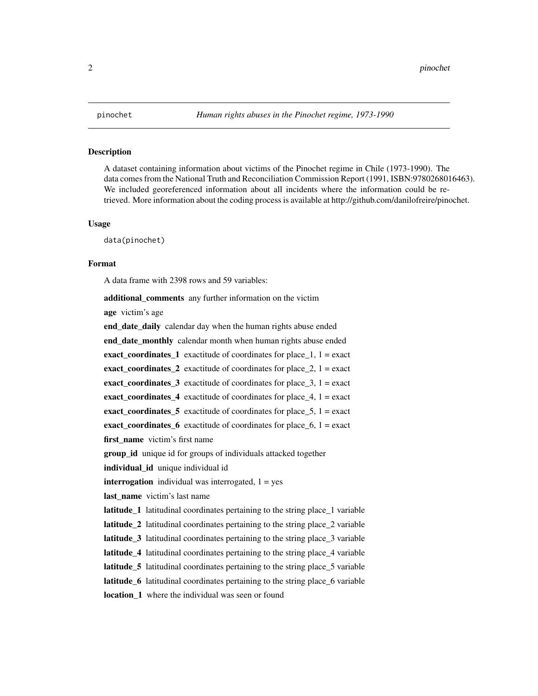#### <span id="page-1-0"></span>Description

A dataset containing information about victims of the Pinochet regime in Chile (1973-1990). The data comes from the National Truth and Reconciliation Commission Report (1991, ISBN:9780268016463). We included georeferenced information about all incidents where the information could be retrieved. More information about the coding process is available at http://github.com/danilofreire/pinochet.

#### Usage

data(pinochet)

#### Format

A data frame with 2398 rows and 59 variables:

additional\_comments any further information on the victim

age victim's age

**end\_date\_daily** calendar day when the human rights abuse ended end date monthly calendar month when human rights abuse ended exact\_coordinates\_1 exactitude of coordinates for place\_1,  $1 =$  exact exact coordinates 2 exactitude of coordinates for place  $2$ ,  $1 =$  exact exact coordinates 3 exactitude of coordinates for place  $3$ , 1 = exact exact coordinates 4 exactitude of coordinates for place  $4$ ,  $1 =$  exact exact\_coordinates\_5 exactitude of coordinates for place\_5,  $1 =$  exact exact\_coordinates\_6 exactitude of coordinates for place\_6,  $1 =$  exact first\_name victim's first name group\_id unique id for groups of individuals attacked together

individual\_id unique individual id

**interrogation** individual was interrogated,  $1 = yes$ 

**last name** victim's last name

latitude 1 latitudinal coordinates pertaining to the string place 1 variable latitude 2 latitudinal coordinates pertaining to the string place 2 variable

latitude 3 latitudinal coordinates pertaining to the string place 3 variable

latitude\_4 latitudinal coordinates pertaining to the string place\_4 variable

latitude 5 latitudinal coordinates pertaining to the string place 5 variable

latitude\_6 latitudinal coordinates pertaining to the string place\_6 variable

location\_1 where the individual was seen or found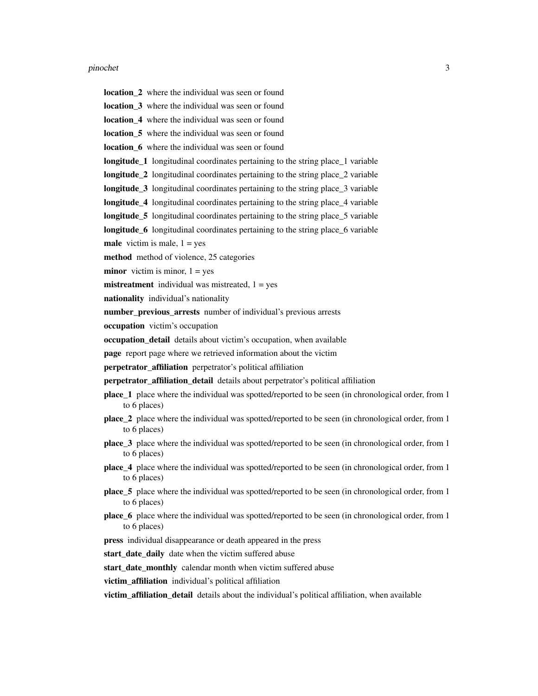#### pinochet 3

- location\_2 where the individual was seen or found
- location\_3 where the individual was seen or found
- location 4 where the individual was seen or found
- **location 5** where the individual was seen or found
- **location 6** where the individual was seen or found
- **longitude\_1** longitudinal coordinates pertaining to the string place\_1 variable
- longitude\_2 longitudinal coordinates pertaining to the string place\_2 variable
- **longitude\_3** longitudinal coordinates pertaining to the string place\_3 variable
- longitude\_4 longitudinal coordinates pertaining to the string place\_4 variable
- longitude\_5 longitudinal coordinates pertaining to the string place\_5 variable
- longitude 6 longitudinal coordinates pertaining to the string place 6 variable
- **male** victim is male,  $1 = yes$
- method method of violence, 25 categories
- **minor** victim is minor,  $1 = yes$
- **mistreatment** individual was mistreated,  $1 = yes$
- nationality individual's nationality
- number\_previous\_arrests number of individual's previous arrests
- occupation victim's occupation
- occupation\_detail details about victim's occupation, when available
- page report page where we retrieved information about the victim
- perpetrator\_affiliation perpetrator's political affiliation
- perpetrator\_affiliation\_detail details about perpetrator's political affiliation
- place\_1 place where the individual was spotted/reported to be seen (in chronological order, from 1 to 6 places)
- place\_2 place where the individual was spotted/reported to be seen (in chronological order, from 1 to 6 places)
- place\_3 place where the individual was spotted/reported to be seen (in chronological order, from 1 to 6 places)
- place\_4 place where the individual was spotted/reported to be seen (in chronological order, from 1 to 6 places)
- place 5 place where the individual was spotted/reported to be seen (in chronological order, from 1 to 6 places)
- place\_6 place where the individual was spotted/reported to be seen (in chronological order, from 1 to 6 places)
- press individual disappearance or death appeared in the press

start\_date\_daily date when the victim suffered abuse

start\_date\_monthly calendar month when victim suffered abuse

victim affiliation individual's political affiliation

victim\_affiliation\_detail details about the individual's political affiliation, when available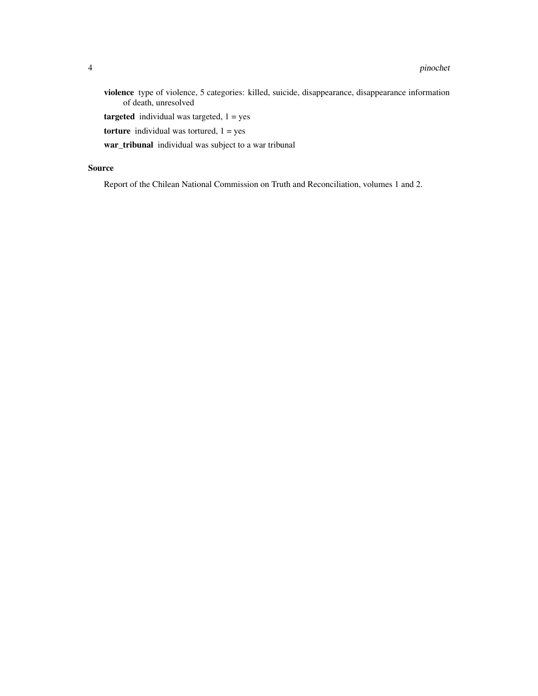violence type of violence, 5 categories: killed, suicide, disappearance, disappearance information of death, unresolved

**targeted** individual was targeted,  $1 = yes$ 

torture individual was tortured,  $1 = yes$ 

war\_tribunal individual was subject to a war tribunal

### Source

Report of the Chilean National Commission on Truth and Reconciliation, volumes 1 and 2.